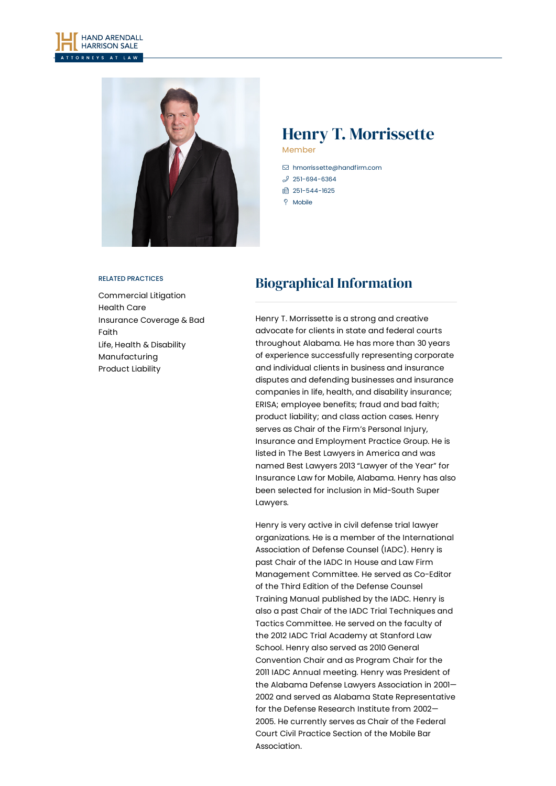



# Henry T. Morrissette Member

- [hmorrissette@handfirm.com](mailto:hmorrissette@handfirm.com)  $3251 - 694 - 6364$
- □ 251-544-1625
- $\degree$  Mobile
- 

#### RELATED PRACTICES

[Commercial](https://www.handfirm.com/practices/litigation/commercial-litigation/) Litigation [Health](https://www.handfirm.com/practices/industries/health-care/) Care [Insurance](https://www.handfirm.com/practices/litigation/insurance-coverage-bad-faith/) Coverage & Bad Faith Life, Health & [Disability](https://www.handfirm.com/practices/litigation/life-health-disability/) [Manufacturing](https://www.handfirm.com/practices/industries/manufacturing/) [Product](https://www.handfirm.com/practices/litigation/product-liability/) Liability

# Biographical Information

Henry T. Morrissette is a strong and creative advocate for clients in state and federal courts throughout Alabama. He has more than 30 years of experience successfully representing corporate and individual clients in business and insurance disputes and defending businesses and insurance companies in life, health, and disability insurance; ERISA; employee benefits; fraud and bad faith; product liability; and class action cases. Henry serves as Chair of the Firm's Personal Injury, Insurance and Employment Practice Group. He is listed in The Best Lawyers in America and was named Best Lawyers 2013 "Lawyer of the Year" for Insurance Law for Mobile, Alabama. Henry has also been selected for inclusion in Mid-South Super Lawyers.

Henry is very active in civil defense trial lawyer organizations. He is a member of the International Association of Defense Counsel (IADC). Henry is past Chair of the IADC In House and Law Firm Management Committee. He served as Co-Editor of the Third Edition of the Defense Counsel Training Manual published by the IADC. Henry is also a past Chair of the IADC Trial Techniques and Tactics Committee. He served on the faculty of the 2012 IADC Trial Academy at Stanford Law School. Henry also served as 2010 General Convention Chair and as Program Chair for the 2011 IADC Annual meeting. Henry was President of the Alabama Defense Lawyers Association in 2001— 2002 and served as Alabama State Representative for the Defense Research Institute from 2002— 2005. He currently serves as Chair of the Federal Court Civil Practice Section of the Mobile Bar Association.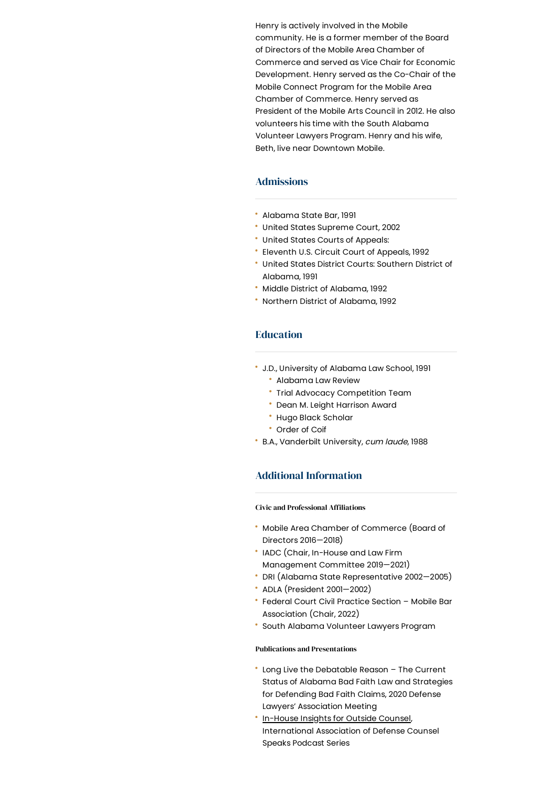Henry is actively involved in the Mobile community. He is a former member of the Board of Directors of the Mobile Area Chamber of Commerce and served as Vice Chair for Economic Development. Henry served as the Co-Chair of the Mobile Connect Program for the Mobile Area Chamber of Commerce. Henry served as President of the Mobile Arts Council in 2012. He also volunteers his time with the South Alabama Volunteer Lawyers Program. Henry and his wife, Beth, live near Downtown Mobile.

## Admissions

- Alabama State Bar, 1991
- United States Supreme Court, 2002
- United States Courts of Appeals:
- Eleventh U.S. Circuit Court of Appeals, 1992
- United States District Courts: Southern District of Alabama, 1991
- Middle District of Alabama, 1992
- Northern District of Alabama, 1992

### **Education**

- J.D., University of Alabama Law School, 1991
	- Alabama Law Review
	- Trial Advocacy Competition Team
	- Dean M. Leight Harrison Award
	- \* Hugo Black Scholar
	- Order of Coif
- B.A., Vanderbilt University, cum laude, 1988

## Additional Information

### **Civic and Professional Affiliations**

- Mobile Area Chamber of Commerce (Board of Directors 2016—2018)
- IADC (Chair, In-House and Law Firm Management Committee 2019—2021)
- DRI (Alabama State Representative 2002—2005)
- ADLA (President 2001—2002)
- Federal Court Civil Practice Section Mobile Bar Association (Chair, 2022)
- South Alabama Volunteer Lawyers Program

### Publications and Presentations

- Long Live the Debatable Reason The Current Status of Alabama Bad Faith Law and Strategies for Defending Bad Faith Claims, 2020 Defense Lawyers' Association Meeting
- [In-House](https://www.spreaker.com/user/iadc/in-house-insights-for-outside-counsel-he?utm_medium=widget&utm_source=user%3A10931072&utm_term=episode_title) Insights for Outside Counsel, International Association of Defense Counsel Speaks Podcast Series